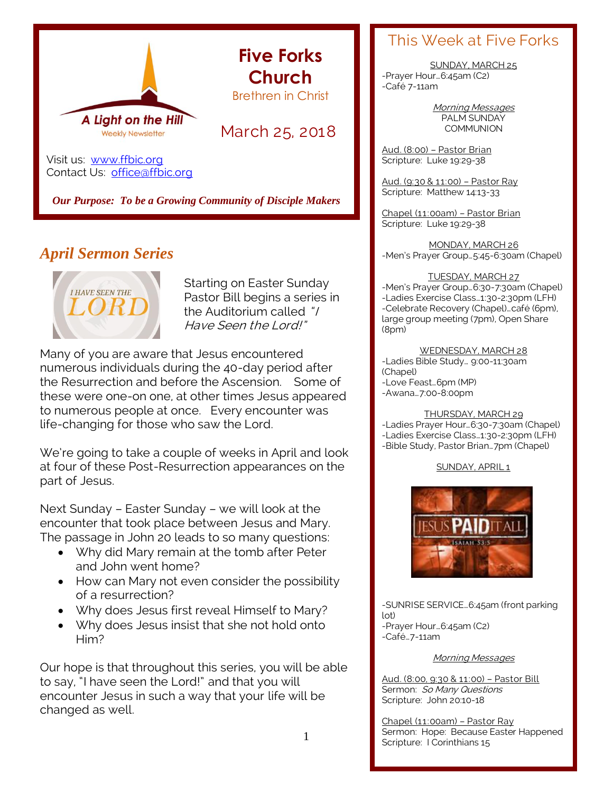

*Our Purpose: To be a Growing Community of Disciple Makers*

# *April Sermon Series*



Starting on Easter Sunday Pastor Bill begins a series in the Auditorium called "/ Have Seen the Lord!"

Many of you are aware that Jesus encountered numerous individuals during the 40-day period after the Resurrection and before the Ascension. Some of these were one-on one, at other times Jesus appeared to numerous people at once. Every encounter was life-changing for those who saw the Lord.

We're going to take a couple of weeks in April and look at four of these Post-Resurrection appearances on the part of Jesus.

Next Sunday – Easter Sunday – we will look at the encounter that took place between Jesus and Mary. The passage in John 20 leads to so many questions:

- Why did Mary remain at the tomb after Peter and John went home?
- How can Mary not even consider the possibility of a resurrection?
- Why does Jesus first reveal Himself to Mary?
- Why does Jesus insist that she not hold onto Him?

Our hope is that throughout this series, you will be able to say, "I have seen the Lord!" and that you will encounter Jesus in such a way that your life will be changed as well.

### This Week at Five Forks

SUNDAY, MARCH 25 -Prayer Hour…6:45am (C2) -Café 7-11am

> Morning Messages PALM SUNDAY **COMMUNION**

Aud. (8:00) – Pastor Brian Scripture: Luke 19:29-38

Aud. (9:30 & 11:00) – Pastor Ray Scripture: Matthew 14:13-33

Chapel (11:00am) – Pastor Brian Scripture: Luke 19:29-38

MONDAY, MARCH 26 -Men's Prayer Group…5:45-6:30am (Chapel)

TUESDAY, MARCH 27 -Men's Prayer Group…6:30-7:30am (Chapel) -Ladies Exercise Class…1:30-2:30pm (LFH) -Celebrate Recovery (Chapel)…café (6pm), large group meeting (7pm), Open Share (8pm)

WEDNESDAY, MARCH 28 -Ladies Bible Study… 9:00-11:30am (Chapel) -Love Feast…6pm (MP) -Awana…7:00-8:00pm

THURSDAY, MARCH 29 -Ladies Prayer Hour…6:30-7:30am (Chapel) -Ladies Exercise Class…1:30-2:30pm (LFH) -Bible Study, Pastor Brian…7pm (Chapel)

SUNDAY, APRIL 1



-SUNRISE SERVICE…6:45am (front parking lot) -Prayer Hour…6:45am (C2) -Café…7-11am

#### Morning Messages

Aud. (8:00, 9:30 & 11:00) – Pastor Bill Sermon: So Many Questions Scripture: John 20:10-18

Chapel (11:00am) – Pastor Ray Sermon: Hope: Because Easter Happened Scripture: I Corinthians 15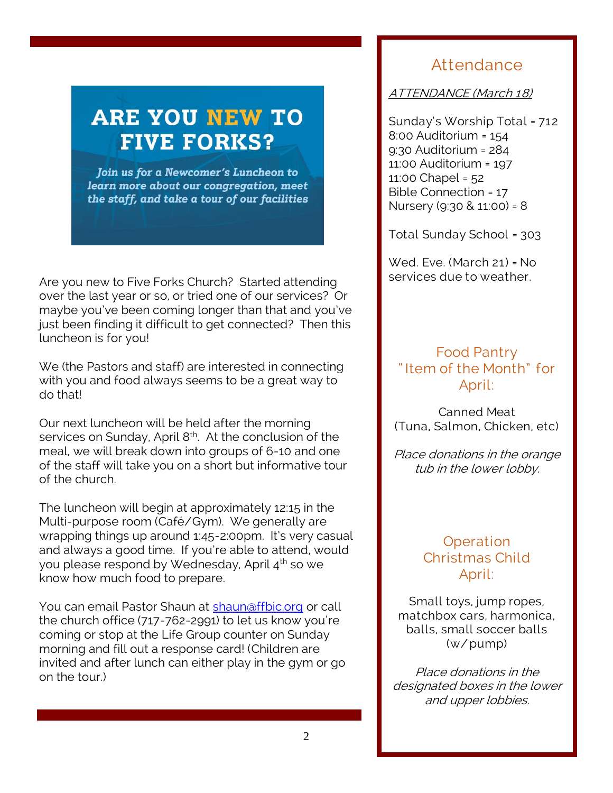# **ARE YOU NEW TO FIVE FORKS?**

Join us for a Newcomer's Luncheon to learn more about our congregation, meet the staff, and take a tour of our facilities

Are you new to Five Forks Church? Started attending over the last year or so, or tried one of our services? Or maybe you've been coming longer than that and you've just been finding it difficult to get connected? Then this luncheon is for you!

We (the Pastors and staff) are interested in connecting with you and food always seems to be a great way to do that!

Our next luncheon will be held after the morning services on Sunday, April 8<sup>th</sup>. At the conclusion of the meal, we will break down into groups of 6-10 and one of the staff will take you on a short but informative tour of the church.

The luncheon will begin at approximately 12:15 in the Multi-purpose room (Café/Gym). We generally are wrapping things up around 1:45-2:00pm. It's very casual and always a good time. If you're able to attend, would you please respond by Wednesday, April 4<sup>th</sup> so we know how much food to prepare.

You can email Pastor Shaun at [shaun@ffbic.org](mailto:shaun@ffbic.org) or call the church office (717-762-2991) to let us know you're coming or stop at the Life Group counter on Sunday morning and fill out a response card! (Children are invited and after lunch can either play in the gym or go on the tour.)

Thanks, and we hope that you will join us.

# Attendance

ATTENDANCE (March 18)

Sunday's Worship Total = 712 8:00 Auditorium = 154 9:30 Auditorium = 284 11:00 Auditorium = 197 11:00 Chapel = 52 Bible Connection = 17 Nursery (9:30 & 11:00) = 8

Total Sunday School = 303

Wed. Fye. (March 21) = No. services due to weather.

### Food Pantry " Item of the Month" for April:

Canned Meat (Tuna, Salmon, Chicken, etc)

Place donations in the orange tub in the lower lobby.

### **Operation** Christmas Child April:

Small toys, jump ropes, matchbox cars, harmonica, balls, small soccer balls (w/ pump)

Place donations in the designated boxes in the lower and upper lobbies.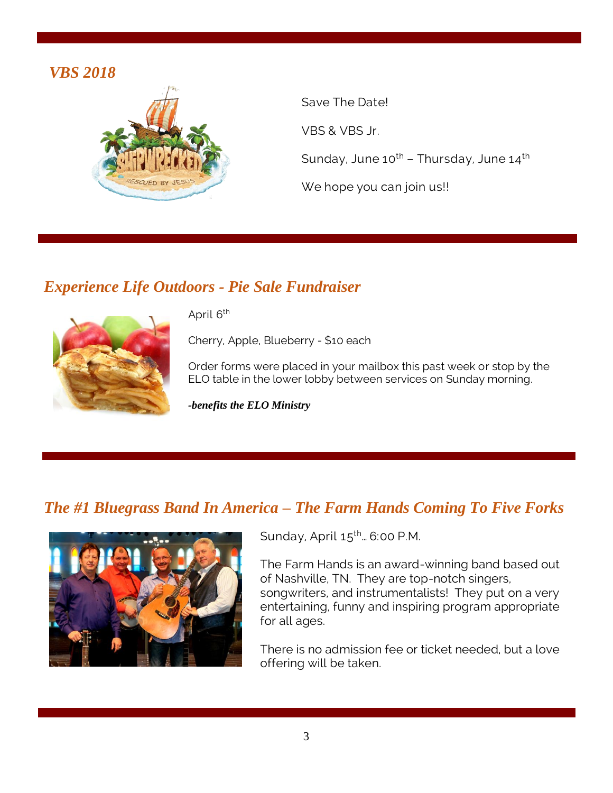# *VBS 2018*



Save The Date! VBS & VBS Jr. Sunday, June  $10^{th}$  – Thursday, June  $14^{th}$ We hope you can join us!!

### *Experience Life Outdoors - Pie Sale Fundraiser*



April 6<sup>th</sup>

Cherry, Apple, Blueberry - \$10 each

Order forms were placed in your mailbox this past week or stop by the ELO table in the lower lobby between services on Sunday morning.

*-benefits the ELO Ministry*

### *The #1 Bluegrass Band In America – The Farm Hands Coming To Five Forks*



Sunday, April 15<sup>th</sup>... 6:00 P.M.

The Farm Hands is an award-winning band based out of Nashville, TN. They are top-notch singers, songwriters, and instrumentalists! They put on a very entertaining, funny and inspiring program appropriate for all ages.

There is no admission fee or ticket needed, but a love offering will be taken.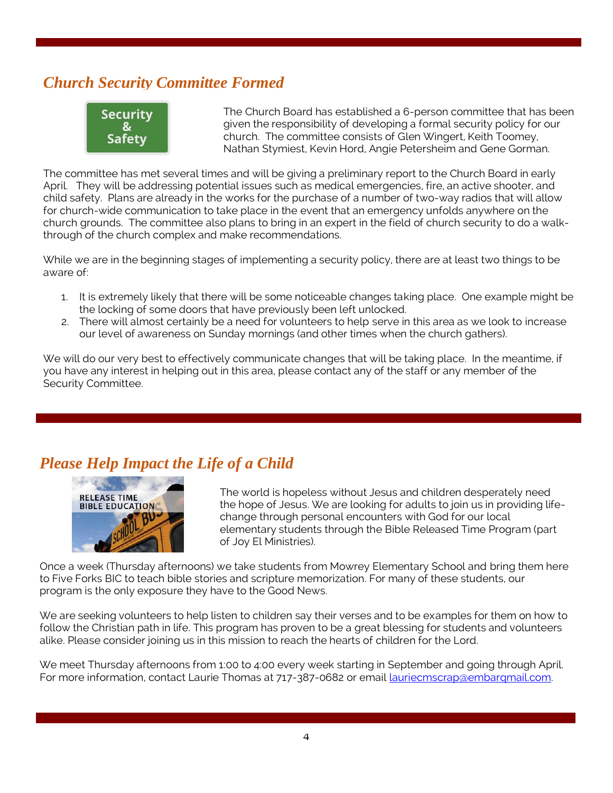# *Church Security Committee Formed*



The Church Board has established a 6-person committee that has been given the responsibility of developing a formal security policy for our church. The committee consists of Glen Wingert, Keith Toomey, Nathan Stymiest, Kevin Hord, Angie Petersheim and Gene Gorman.

The committee has met several times and will be giving a preliminary report to the Church Board in early April. They will be addressing potential issues such as medical emergencies, fire, an active shooter, and child safety. Plans are already in the works for the purchase of a number of two-way radios that will allow for church-wide communication to take place in the event that an emergency unfolds anywhere on the church grounds. The committee also plans to bring in an expert in the field of church security to do a walkthrough of the church complex and make recommendations.

While we are in the beginning stages of implementing a security policy, there are at least two things to be aware of:

- 1. It is extremely likely that there will be some noticeable changes taking place. One example might be the locking of some doors that have previously been left unlocked.
- 2. There will almost certainly be a need for volunteers to help serve in this area as we look to increase our level of awareness on Sunday mornings (and other times when the church gathers).

We will do our very best to effectively communicate changes that will be taking place. In the meantime, if you have any interest in helping out in this area, please contact any of the staff or any member of the Security Committee.

# *Please Help Impact the Life of a Child*



The world is hopeless without Jesus and children desperately need the hope of Jesus. We are looking for adults to join us in providing lifechange through personal encounters with God for our local elementary students through the Bible Released Time Program (part of Joy El Ministries).

Once a week (Thursday afternoons) we take students from Mowrey Elementary School and bring them here to Five Forks BIC to teach bible stories and scripture memorization. For many of these students, our program is the only exposure they have to the Good News.

We are seeking volunteers to help listen to children say their verses and to be examples for them on how to follow the Christian path in life. This program has proven to be a great blessing for students and volunteers alike. Please consider joining us in this mission to reach the hearts of children for the Lord.

We meet Thursday afternoons from 1:00 to 4:00 every week starting in September and going through April. For more information, contact Laurie Thomas at 717-387-0682 or email lauriecmscrap@embarqmail.com.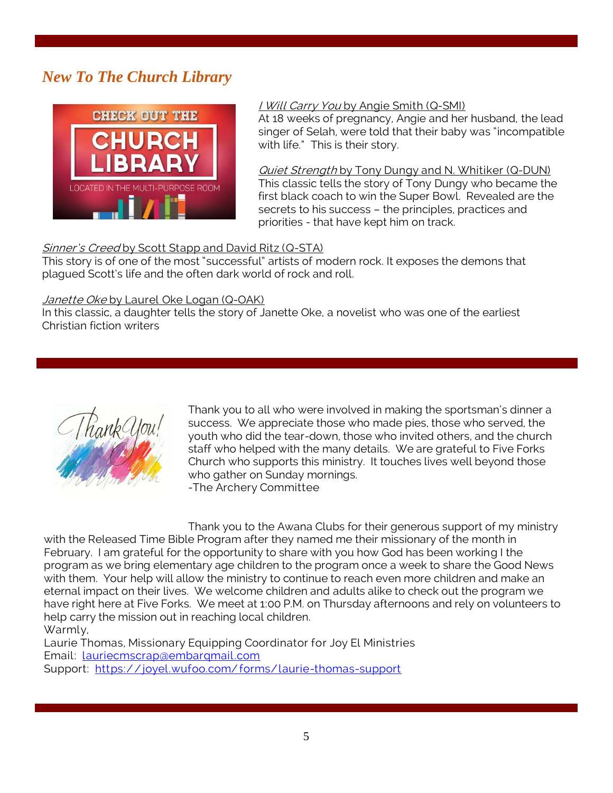# *New To The Church Library*



#### I Will Carry You by Angie Smith (Q-SMI)

At 18 weeks of pregnancy, Angie and her husband, the lead singer of Selah, were told that their baby was "incompatible with life." This is their story.

Quiet Strength by Tony Dungy and N. Whitiker (Q-DUN) This classic tells the story of Tony Dungy who became the first black coach to win the Super Bowl. Revealed are the secrets to his success – the principles, practices and priorities - that have kept him on track.

### Sinner's Creed by Scott Stapp and David Ritz (Q-STA)

This story is of one of the most "successful" artists of modern rock. It exposes the demons that plagued Scott's life and the often dark world of rock and roll.

### Janette Oke by Laurel Oke Logan (Q-OAK)

In this classic, a daughter tells the story of Janette Oke, a novelist who was one of the earliest Christian fiction writers



Thank you to all who were involved in making the sportsman's dinner a success. We appreciate those who made pies, those who served, the youth who did the tear-down, those who invited others, and the church staff who helped with the many details. We are grateful to Five Forks Church who supports this ministry. It touches lives well beyond those who gather on Sunday mornings. -The Archery Committee

Thank you to the Awana Clubs for their generous support of my ministry with the Released Time Bible Program after they named me their missionary of the month in February. I am grateful for the opportunity to share with you how God has been working I the program as we bring elementary age children to the program once a week to share the Good News with them. Your help will allow the ministry to continue to reach even more children and make an eternal impact on their lives. We welcome children and adults alike to check out the program we have right here at Five Forks. We meet at 1:00 P.M. on Thursday afternoons and rely on volunteers to help carry the mission out in reaching local children. Warmly,

Laurie Thomas, Missionary Equipping Coordinator for Joy El Ministries Email: [lauriecmscrap@embarqmail.com](mailto:lauriecmscrap@embarqmail.com) Support: https://joyel.wufoo.com/forms/laurie-thomas-support